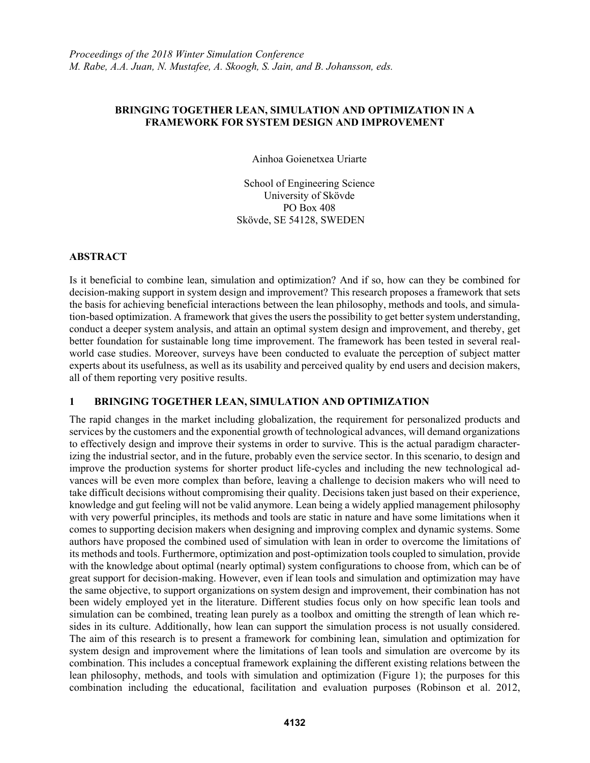## **BRINGING TOGETHER LEAN, SIMULATION AND OPTIMIZATION IN A FRAMEWORK FOR SYSTEM DESIGN AND IMPROVEMENT**

Ainhoa Goienetxea Uriarte

School of Engineering Science University of Skövde PO Box 408 Skövde, SE 54128, SWEDEN

# **ABSTRACT**

Is it beneficial to combine lean, simulation and optimization? And if so, how can they be combined for decision-making support in system design and improvement? This research proposes a framework that sets the basis for achieving beneficial interactions between the lean philosophy, methods and tools, and simulation-based optimization. A framework that gives the users the possibility to get better system understanding, conduct a deeper system analysis, and attain an optimal system design and improvement, and thereby, get better foundation for sustainable long time improvement. The framework has been tested in several realworld case studies. Moreover, surveys have been conducted to evaluate the perception of subject matter experts about its usefulness, as well as its usability and perceived quality by end users and decision makers, all of them reporting very positive results.

## **1 BRINGING TOGETHER LEAN, SIMULATION AND OPTIMIZATION**

The rapid changes in the market including globalization, the requirement for personalized products and services by the customers and the exponential growth of technological advances, will demand organizations to effectively design and improve their systems in order to survive. This is the actual paradigm characterizing the industrial sector, and in the future, probably even the service sector. In this scenario, to design and improve the production systems for shorter product life-cycles and including the new technological advances will be even more complex than before, leaving a challenge to decision makers who will need to take difficult decisions without compromising their quality. Decisions taken just based on their experience, knowledge and gut feeling will not be valid anymore. Lean being a widely applied management philosophy with very powerful principles, its methods and tools are static in nature and have some limitations when it comes to supporting decision makers when designing and improving complex and dynamic systems. Some authors have proposed the combined used of simulation with lean in order to overcome the limitations of its methods and tools. Furthermore, optimization and post-optimization tools coupled to simulation, provide with the knowledge about optimal (nearly optimal) system configurations to choose from, which can be of great support for decision-making. However, even if lean tools and simulation and optimization may have the same objective, to support organizations on system design and improvement, their combination has not been widely employed yet in the literature. Different studies focus only on how specific lean tools and simulation can be combined, treating lean purely as a toolbox and omitting the strength of lean which resides in its culture. Additionally, how lean can support the simulation process is not usually considered. The aim of this research is to present a framework for combining lean, simulation and optimization for system design and improvement where the limitations of lean tools and simulation are overcome by its combination. This includes a conceptual framework explaining the different existing relations between the lean philosophy, methods, and tools with simulation and optimization (Figure 1); the purposes for this combination including the educational, facilitation and evaluation purposes (Robinson et al. 2012,